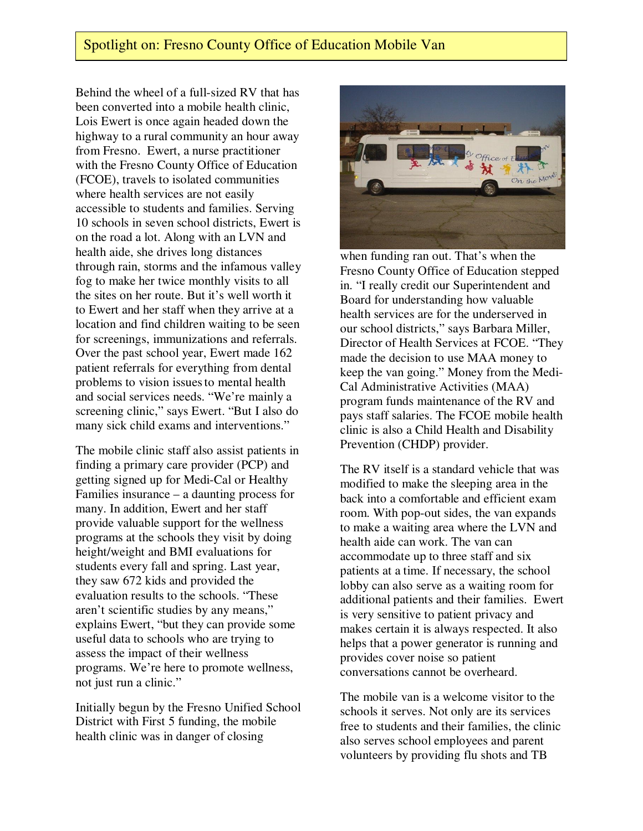## Spotlight on: Fresno County Office of Education Mobile Van

Behind the wheel of a full-sized RV that has been converted into a mobile health clinic, Lois Ewert is once again headed down the highway to a rural community an hour away from Fresno. Ewert, a nurse practitioner with the Fresno County Office of Education (FCOE), travels to isolated communities where health services are not easily accessible to students and families. Serving 10 schools in seven school districts, Ewert is on the road a lot. Along with an LVN and health aide, she drives long distances through rain, storms and the infamous valley fog to make her twice monthly visits to all the sites on her route. But it's well worth it to Ewert and her staff when they arrive at a location and find children waiting to be seen for screenings, immunizations and referrals. Over the past school year, Ewert made 162 patient referrals for everything from dental problems to vision issuesto mental health and social services needs. "We're mainly a screening clinic," says Ewert. "But I also do many sick child exams and interventions."

The mobile clinic staff also assist patients in finding a primary care provider (PCP) and getting signed up for Medi-Cal or Healthy Families insurance – a daunting process for many. In addition, Ewert and her staff provide valuable support for the wellness programs at the schools they visit by doing height/weight and BMI evaluations for students every fall and spring. Last year, they saw 672 kids and provided the evaluation results to the schools. "These aren't scientific studies by any means," explains Ewert, "but they can provide some useful data to schools who are trying to assess the impact of their wellness programs. We're here to promote wellness, not just run a clinic."

Initially begun by the Fresno Unified School District with First 5 funding, the mobile health clinic was in danger of closing



when funding ran out. That's when the Fresno County Office of Education stepped in. "I really credit our Superintendent and Board for understanding how valuable health services are for the underserved in our school districts," says Barbara Miller, Director of Health Services at FCOE. "They made the decision to use MAA money to keep the van going." Money from the Medi-Cal Administrative Activities (MAA) program funds maintenance of the RV and pays staff salaries. The FCOE mobile health clinic is also a Child Health and Disability Prevention (CHDP) provider.

The RV itself is a standard vehicle that was modified to make the sleeping area in the back into a comfortable and efficient exam room. With pop-out sides, the van expands to make a waiting area where the LVN and health aide can work. The van can accommodate up to three staff and six patients at a time. If necessary, the school lobby can also serve as a waiting room for additional patients and their families. Ewert is very sensitive to patient privacy and makes certain it is always respected. It also helps that a power generator is running and provides cover noise so patient conversations cannot be overheard.

The mobile van is a welcome visitor to the schools it serves. Not only are its services free to students and their families, the clinic also serves school employees and parent volunteers by providing flu shots and TB